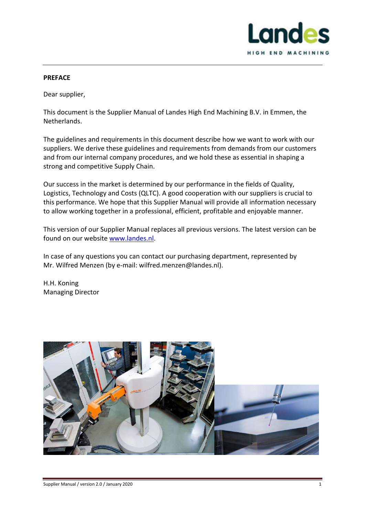

#### **PREFACE**

Dear supplier,

This document is the Supplier Manual of Landes High End Machining B.V. in Emmen, the Netherlands.

The guidelines and requirements in this document describe how we want to work with our suppliers. We derive these guidelines and requirements from demands from our customers and from our internal company procedures, and we hold these as essential in shaping a strong and competitive Supply Chain.

Our success in the market is determined by our performance in the fields of Quality, Logistics, Technology and Costs (QLTC). A good cooperation with our suppliers is crucial to this performance. We hope that this Supplier Manual will provide all information necessary to allow working together in a professional, efficient, profitable and enjoyable manner.

This version of our Supplier Manual replaces all previous versions. The latest version can be found on our website www.landes.nl.

In case of any questions you can contact our purchasing department, represented by Mr. Wilfred Menzen (by e-mail: wilfred.menzen@landes.nl).

H.H. Koning Managing Director

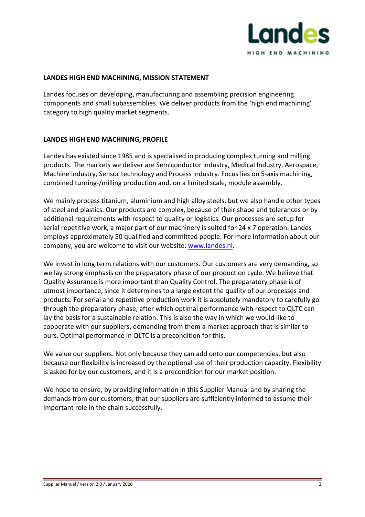

## **LANDES HIGH END MACHINING, MISSION STATEMENT**

Landes focuses on developing, manufacturing and assembling precision engineering components and small subassemblies. We deliver products from the 'high end machining' category to high quality market segments.

## **LANDES HIGH END MACHINING, PROFILE**

Landes has existed since 1985 and is specialised in producing complex turning and milling products. The markets we deliver are Semiconductor industry, Medical Industry, Aerospace, Machine industry, Sensor technology and Process industry. Focus lies on 5-axis machining, combined turning-/milling production and, on a limited scale, module assembly.

We mainly process titanium, aluminium and high alloy steels, but we also handle other types of steel and plastics. Our products are complex, because of their shape and tolerances or by additional requirements with respect to quality or logistics. Our processes are setup for serial repetitive work, a major part of our machinery is suited for 24 x 7 operation. Landes employs approximately 50 qualified and committed people. For more information about our company, you are welcome to visit our website: www.landes.nl.

We invest in long term relations with our customers. Our customers are very demanding, so we lay strong emphasis on the preparatory phase of our production cycle. We believe that Quality Assurance is more important than Quality Control. The preparatory phase is of utmost importance, since it determines to a large extent the quality of our processes and products. For serial and repetitive production work it is absolutely mandatory to carefully go through the preparatory phase, after which optimal performance with respect to QLTC can lay the basis for a sustainable relation. This is also the way in which we would like to cooperate with our suppliers, demanding from them a market approach that is similar to ours. Optimal performance in QLTC is a precondition for this.

We value our suppliers. Not only because they can add onto our competencies, but also because our flexibility is increased by the optional use of their production capacity. Flexibility is asked for by our customers, and it is a precondition for our market position.

We hope to ensure, by providing information in this Supplier Manual and by sharing the demands from our customers, that our suppliers are sufficiently informed to assume their important role in the chain successfully.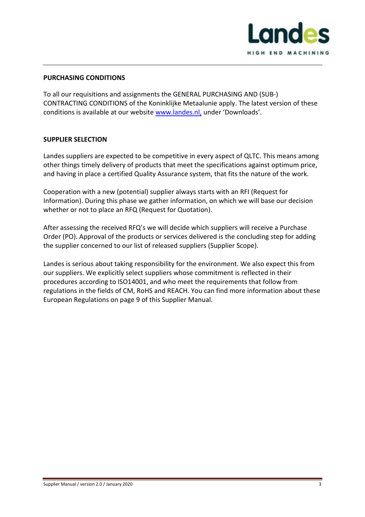

### **PURCHASING CONDITIONS**

To all our requisitions and assignments the GENERAL PURCHASING AND (SUB-) CONTRACTING CONDITIONS of the Koninklijke Metaalunie apply. The latest version of these conditions is available at our website www.landes.nl, under 'Downloads'.

#### **SUPPLIER SELECTION**

Landes suppliers are expected to be competitive in every aspect of QLTC. This means among other things timely delivery of products that meet the specifications against optimum price, and having in place a certified Quality Assurance system, that fits the nature of the work.

Cooperation with a new (potential) supplier always starts with an RFI (Request for Information). During this phase we gather information, on which we will base our decision whether or not to place an RFQ (Request for Quotation).

After assessing the received RFQ's we will decide which suppliers will receive a Purchase Order (PO). Approval of the products or services delivered is the concluding step for adding the supplier concerned to our list of released suppliers (Supplier Scope).

Landes is serious about taking responsibility for the environment. We also expect this from our suppliers. We explicitly select suppliers whose commitment is reflected in their procedures according to ISO14001, and who meet the requirements that follow from regulations in the fields of CM, RoHS and REACH. You can find more information about these European Regulations on page 9 of this Supplier Manual.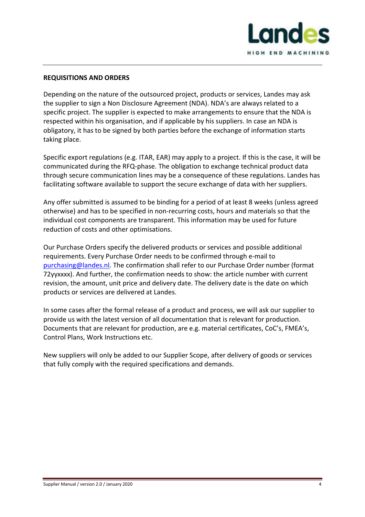

### **REQUISITIONS AND ORDERS**

Depending on the nature of the outsourced project, products or services, Landes may ask the supplier to sign a Non Disclosure Agreement (NDA). NDA's are always related to a specific project. The supplier is expected to make arrangements to ensure that the NDA is respected within his organisation, and if applicable by his suppliers. In case an NDA is obligatory, it has to be signed by both parties before the exchange of information starts taking place.

Specific export regulations (e.g. ITAR, EAR) may apply to a project. If this is the case, it will be communicated during the RFQ-phase. The obligation to exchange technical product data through secure communication lines may be a consequence of these regulations. Landes has facilitating software available to support the secure exchange of data with her suppliers.

Any offer submitted is assumed to be binding for a period of at least 8 weeks (unless agreed otherwise) and has to be specified in non-recurring costs, hours and materials so that the individual cost components are transparent. This information may be used for future reduction of costs and other optimisations.

Our Purchase Orders specify the delivered products or services and possible additional requirements. Every Purchase Order needs to be confirmed through e-mail to purchasing@landes.nl. The confirmation shall refer to our Purchase Order number (format 72yyxxxx). And further, the confirmation needs to show: the article number with current revision, the amount, unit price and delivery date. The delivery date is the date on which products or services are delivered at Landes.

In some cases after the formal release of a product and process, we will ask our supplier to provide us with the latest version of all documentation that is relevant for production. Documents that are relevant for production, are e.g. material certificates, CoC's, FMEA's, Control Plans, Work Instructions etc.

New suppliers will only be added to our Supplier Scope, after delivery of goods or services that fully comply with the required specifications and demands.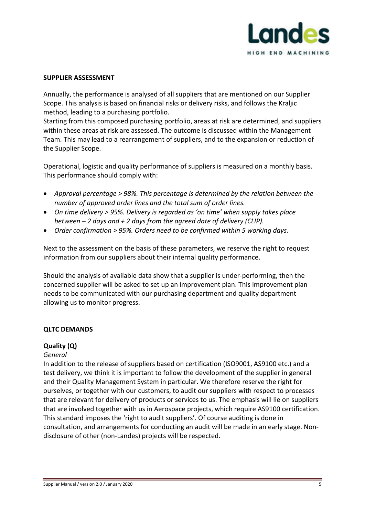

#### **SUPPLIER ASSESSMENT**

Annually, the performance is analysed of all suppliers that are mentioned on our Supplier Scope. This analysis is based on financial risks or delivery risks, and follows the Kraljic method, leading to a purchasing portfolio.

Starting from this composed purchasing portfolio, areas at risk are determined, and suppliers within these areas at risk are assessed. The outcome is discussed within the Management Team. This may lead to a rearrangement of suppliers, and to the expansion or reduction of the Supplier Scope.

Operational, logistic and quality performance of suppliers is measured on a monthly basis. This performance should comply with:

- *Approval percentage > 98%. This percentage is determined by the relation between the number of approved order lines and the total sum of order lines.*
- *On time delivery > 95%. Delivery is regarded as 'on time' when supply takes place between – 2 days and + 2 days from the agreed date of delivery (CLIP).*
- *Order confirmation > 95%. Orders need to be confirmed within 5 working days.*

Next to the assessment on the basis of these parameters, we reserve the right to request information from our suppliers about their internal quality performance.

Should the analysis of available data show that a supplier is under-performing, then the concerned supplier will be asked to set up an improvement plan. This improvement plan needs to be communicated with our purchasing department and quality department allowing us to monitor progress.

## **QLTC DEMANDS**

## **Quality (Q)**

## *General*

In addition to the release of suppliers based on certification (ISO9001, AS9100 etc.) and a test delivery, we think it is important to follow the development of the supplier in general and their Quality Management System in particular. We therefore reserve the right for ourselves, or together with our customers, to audit our suppliers with respect to processes that are relevant for delivery of products or services to us. The emphasis will lie on suppliers that are involved together with us in Aerospace projects, which require AS9100 certification. This standard imposes the 'right to audit suppliers'. Of course auditing is done in consultation, and arrangements for conducting an audit will be made in an early stage. Nondisclosure of other (non-Landes) projects will be respected.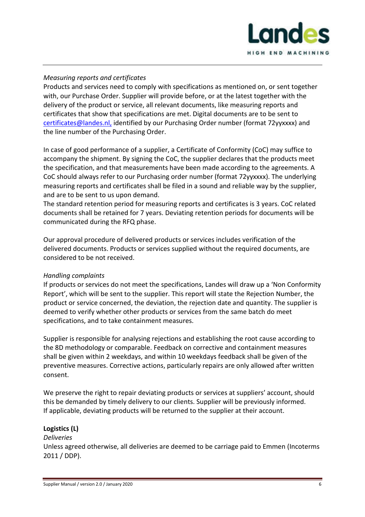

# *Measuring reports and certificates*

Products and services need to comply with specifications as mentioned on, or sent together with, our Purchase Order. Supplier will provide before, or at the latest together with the delivery of the product or service, all relevant documents, like measuring reports and certificates that show that specifications are met. Digital documents are to be sent to certificates@landes.nl, identified by our Purchasing Order number (format 72yyxxxx) and the line number of the Purchasing Order.

In case of good performance of a supplier, a Certificate of Conformity (CoC) may suffice to accompany the shipment. By signing the CoC, the supplier declares that the products meet the specification, and that measurements have been made according to the agreements. A CoC should always refer to our Purchasing order number (format 72yyxxxx). The underlying measuring reports and certificates shall be filed in a sound and reliable way by the supplier, and are to be sent to us upon demand.

The standard retention period for measuring reports and certificates is 3 years. CoC related documents shall be retained for 7 years. Deviating retention periods for documents will be communicated during the RFQ phase.

Our approval procedure of delivered products or services includes verification of the delivered documents. Products or services supplied without the required documents, are considered to be not received.

## *Handling complaints*

If products or services do not meet the specifications, Landes will draw up a 'Non Conformity Report', which will be sent to the supplier. This report will state the Rejection Number, the product or service concerned, the deviation, the rejection date and quantity. The supplier is deemed to verify whether other products or services from the same batch do meet specifications, and to take containment measures.

Supplier is responsible for analysing rejections and establishing the root cause according to the 8D methodology or comparable. Feedback on corrective and containment measures shall be given within 2 weekdays, and within 10 weekdays feedback shall be given of the preventive measures. Corrective actions, particularly repairs are only allowed after written consent.

We preserve the right to repair deviating products or services at suppliers' account, should this be demanded by timely delivery to our clients. Supplier will be previously informed. If applicable, deviating products will be returned to the supplier at their account.

#### **Logistics (L)**

#### *Deliveries*

Unless agreed otherwise, all deliveries are deemed to be carriage paid to Emmen (Incoterms 2011 / DDP).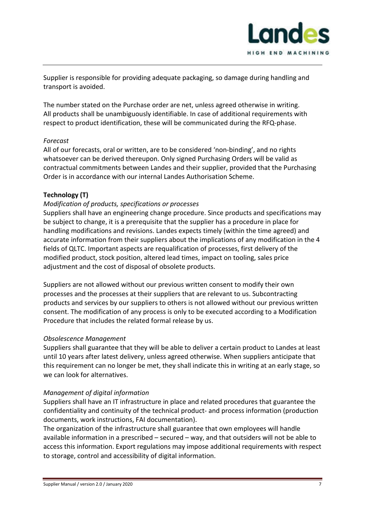

Supplier is responsible for providing adequate packaging, so damage during handling and transport is avoided.

The number stated on the Purchase order are net, unless agreed otherwise in writing. All products shall be unambiguously identifiable. In case of additional requirements with respect to product identification, these will be communicated during the RFQ-phase.

# *Forecast*

All of our forecasts, oral or written, are to be considered 'non-binding', and no rights whatsoever can be derived thereupon. Only signed Purchasing Orders will be valid as contractual commitments between Landes and their supplier, provided that the Purchasing Order is in accordance with our internal Landes Authorisation Scheme.

# **Technology (T)**

# *Modification of products, specifications or processes*

Suppliers shall have an engineering change procedure. Since products and specifications may be subject to change, it is a prerequisite that the supplier has a procedure in place for handling modifications and revisions. Landes expects timely (within the time agreed) and accurate information from their suppliers about the implications of any modification in the 4 fields of QLTC. Important aspects are requalification of processes, first delivery of the modified product, stock position, altered lead times, impact on tooling, sales price adjustment and the cost of disposal of obsolete products.

Suppliers are not allowed without our previous written consent to modify their own processes and the processes at their suppliers that are relevant to us. Subcontracting products and services by our suppliers to others is not allowed without our previous written consent. The modification of any process is only to be executed according to a Modification Procedure that includes the related formal release by us.

## *Obsolescence Management*

Suppliers shall guarantee that they will be able to deliver a certain product to Landes at least until 10 years after latest delivery, unless agreed otherwise. When suppliers anticipate that this requirement can no longer be met, they shall indicate this in writing at an early stage, so we can look for alternatives.

## *Management of digital information*

Suppliers shall have an IT infrastructure in place and related procedures that guarantee the confidentiality and continuity of the technical product- and process information (production documents, work instructions, FAI documentation).

The organization of the infrastructure shall guarantee that own employees will handle available information in a prescribed – secured – way, and that outsiders will not be able to access this information. Export regulations may impose additional requirements with respect to storage, control and accessibility of digital information.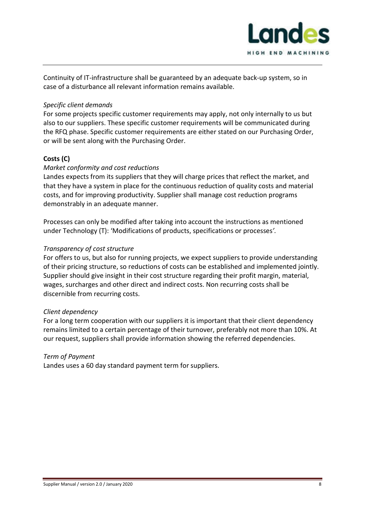

Continuity of IT-infrastructure shall be guaranteed by an adequate back-up system, so in case of a disturbance all relevant information remains available.

## *Specific client demands*

For some projects specific customer requirements may apply, not only internally to us but also to our suppliers. These specific customer requirements will be communicated during the RFQ phase. Specific customer requirements are either stated on our Purchasing Order, or will be sent along with the Purchasing Order.

# **Costs (C)**

# *Market conformity and cost reductions*

Landes expects from its suppliers that they will charge prices that reflect the market, and that they have a system in place for the continuous reduction of quality costs and material costs, and for improving productivity. Supplier shall manage cost reduction programs demonstrably in an adequate manner.

Processes can only be modified after taking into account the instructions as mentioned under Technology (T): 'Modifications of products, specifications or processes*'.* 

## *Transparency of cost structure*

For offers to us, but also for running projects, we expect suppliers to provide understanding of their pricing structure, so reductions of costs can be established and implemented jointly. Supplier should give insight in their cost structure regarding their profit margin, material, wages, surcharges and other direct and indirect costs. Non recurring costs shall be discernible from recurring costs.

## *Client dependency*

For a long term cooperation with our suppliers it is important that their client dependency remains limited to a certain percentage of their turnover, preferably not more than 10%. At our request, suppliers shall provide information showing the referred dependencies.

## *Term of Payment*

Landes uses a 60 day standard payment term for suppliers.